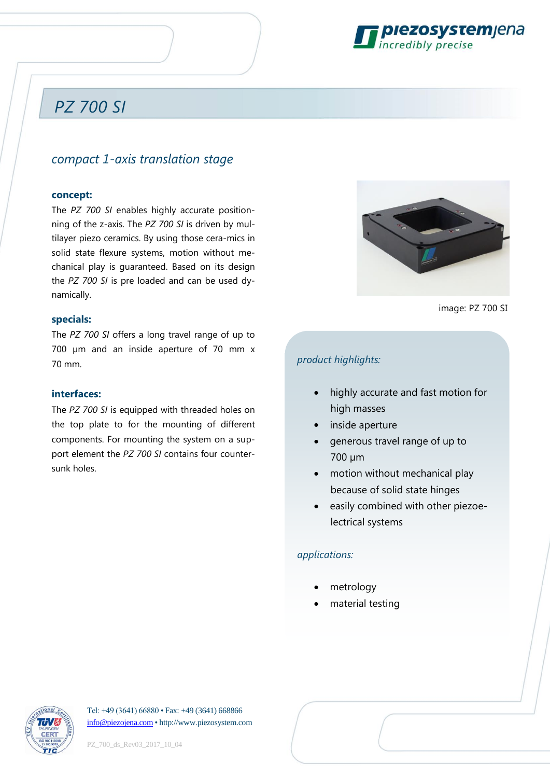

## *PZ 700 SI*

### *compact 1-axis translation stage*

#### **concept:**

The *PZ 700 SI* enables highly accurate positionning of the z-axis. The *PZ 700 SI* is driven by multilayer piezo ceramics. By using those cera-mics in solid state flexure systems, motion without mechanical play is guaranteed. Based on its design the *PZ 700 SI* is pre loaded and can be used dynamically.

#### **specials:**

The *PZ 700 SI* offers a long travel range of up to 700 µm and an inside aperture of 70 mm x 70 mm.

#### **interfaces:**

The *PZ 700 SI* is equipped with threaded holes on the top plate to for the mounting of different components. For mounting the system on a support element the *PZ 700 SI* contains four countersunk holes.



image: PZ 700 SI

#### *product highlights:*

- highly accurate and fast motion for high masses
- inside aperture
- generous travel range of up to 700 µm
- motion without mechanical play because of solid state hinges
- easily combined with other piezoelectrical systems

#### *applications:*

- metrology
- material testing



Tel: +49 (3641) 66880 • Fax: +49 (3641) 668866 [info@piezojena.com](file://///D2FRRHS1/../../verwaltung/Vorlagen/info@piezojena.com) • http://www.piezosystem.com

PZ\_700\_ds\_Rev03\_2017\_10\_04